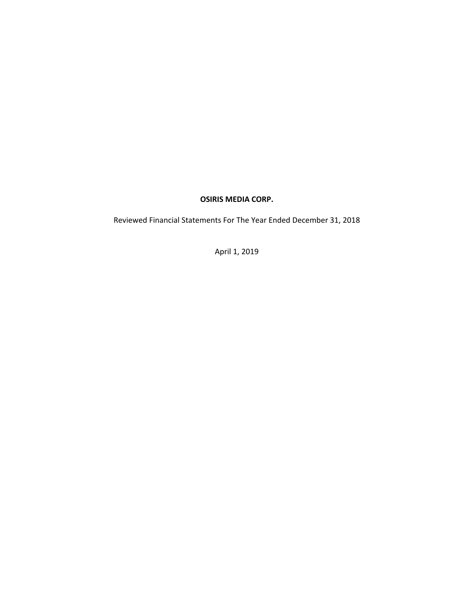# **OSIRIS MEDIA CORP.**

Reviewed Financial Statements For The Year Ended December 31, 2018

April 1, 2019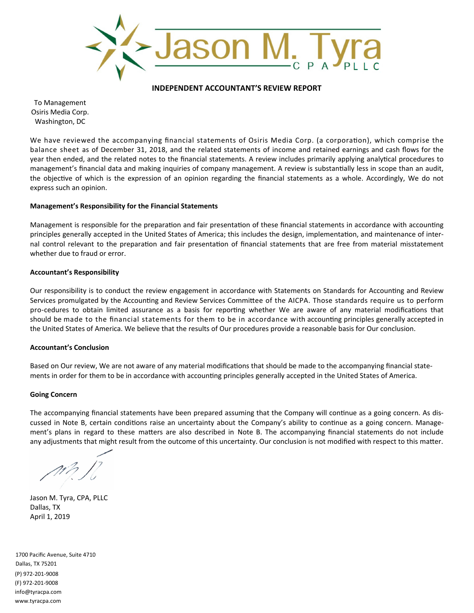

#### **INDEPENDENT ACCOUNTANT'S REVIEW REPORT**

To Management Osiris Media Corp. Washington, DC

We have reviewed the accompanying financial statements of Osiris Media Corp. (a corporation), which comprise the balance sheet as of December 31, 2018, and the related statements of income and retained earnings and cash flows for the year then ended, and the related notes to the financial statements. A review includes primarily applying analytical procedures to management's financial data and making inquiries of company management. A review is substantially less in scope than an audit, the objective of which is the expression of an opinion regarding the financial statements as a whole. Accordingly, We do not express such an opinion.

#### **Management's Responsibility for the Financial Statements**

Management is responsible for the preparation and fair presentation of these financial statements in accordance with accounting principles generally accepted in the United States of America; this includes the design, implementation, and maintenance of internal control relevant to the preparation and fair presentation of financial statements that are free from material misstatement whether due to fraud or error.

#### **Accountant's Responsibility**

Our responsibility is to conduct the review engagement in accordance with Statements on Standards for Accounting and Review Services promulgated by the Accounting and Review Services Committee of the AICPA. Those standards require us to perform pro-cedures to obtain limited assurance as a basis for reporting whether We are aware of any material modifications that should be made to the financial statements for them to be in accordance with accounting principles generally accepted in the United States of America. We believe that the results of Our procedures provide a reasonable basis for Our conclusion.

#### **Accountant's Conclusion**

Based on Our review, We are not aware of any material modifications that should be made to the accompanying financial statements in order for them to be in accordance with accounting principles generally accepted in the United States of America.

#### **Going Concern**

The accompanying financial statements have been prepared assuming that the Company will continue as a going concern. As discussed in Note B, certain conditions raise an uncertainty about the Company's ability to continue as a going concern. Management's plans in regard to these matters are also described in Note B. The accompanying financial statements do not include any adjustments that might result from the outcome of this uncertainty. Our conclusion is not modified with respect to this matter.

Jason M. Tyra, CPA, PLLC Dallas, TX April 1, 2019

1700 Pacific Avenue, Suite 4710 Dallas, TX 75201 (P) 972‐201‐9008 (F) 972‐201‐9008 info@tyracpa.com www.tyracpa.com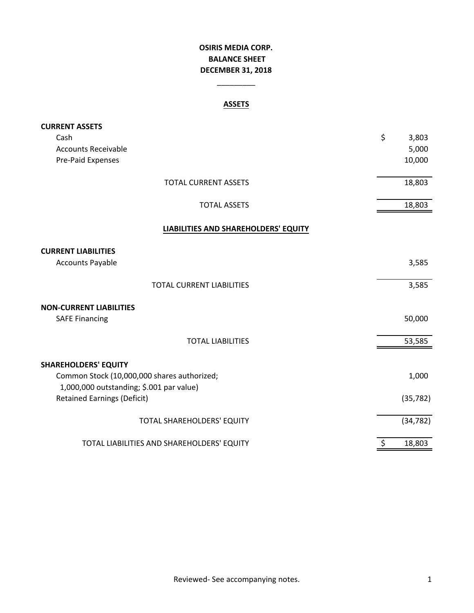# **OSIRIS MEDIA CORP. BALANCE SHEET DECEMBER 31, 2018**

# **ASSETS**

 $\overline{\phantom{a}}$   $\overline{\phantom{a}}$   $\overline{\phantom{a}}$   $\overline{\phantom{a}}$   $\overline{\phantom{a}}$   $\overline{\phantom{a}}$   $\overline{\phantom{a}}$   $\overline{\phantom{a}}$   $\overline{\phantom{a}}$   $\overline{\phantom{a}}$   $\overline{\phantom{a}}$   $\overline{\phantom{a}}$   $\overline{\phantom{a}}$   $\overline{\phantom{a}}$   $\overline{\phantom{a}}$   $\overline{\phantom{a}}$   $\overline{\phantom{a}}$   $\overline{\phantom{a}}$   $\overline{\$ 

| <b>CURRENT ASSETS</b>                       |              |
|---------------------------------------------|--------------|
| Cash                                        | \$<br>3,803  |
| <b>Accounts Receivable</b>                  | 5,000        |
| Pre-Paid Expenses                           | 10,000       |
|                                             |              |
| <b>TOTAL CURRENT ASSETS</b>                 | 18,803       |
| <b>TOTAL ASSETS</b>                         | 18,803       |
| LIABILITIES AND SHAREHOLDERS' EQUITY        |              |
| <b>CURRENT LIABILITIES</b>                  |              |
| <b>Accounts Payable</b>                     | 3,585        |
| <b>TOTAL CURRENT LIABILITIES</b>            | 3,585        |
| <b>NON-CURRENT LIABILITIES</b>              |              |
| <b>SAFE Financing</b>                       | 50,000       |
| <b>TOTAL LIABILITIES</b>                    | 53,585       |
| <b>SHAREHOLDERS' EQUITY</b>                 |              |
| Common Stock (10,000,000 shares authorized; | 1,000        |
| 1,000,000 outstanding; \$.001 par value)    |              |
| <b>Retained Earnings (Deficit)</b>          | (35, 782)    |
| TOTAL SHAREHOLDERS' EQUITY                  | (34, 782)    |
| TOTAL LIABILITIES AND SHAREHOLDERS' EQUITY  | \$<br>18,803 |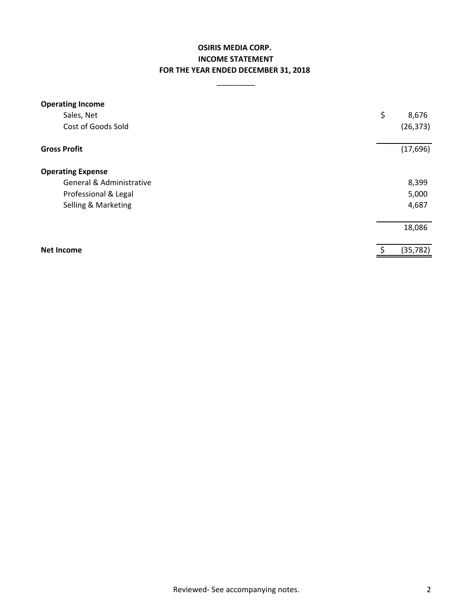# **OSIRIS MEDIA CORP. INCOME STATEMENT FOR THE YEAR ENDED DECEMBER 31, 2018**

 $\overline{\phantom{a}}$   $\overline{\phantom{a}}$   $\overline{\phantom{a}}$   $\overline{\phantom{a}}$   $\overline{\phantom{a}}$   $\overline{\phantom{a}}$   $\overline{\phantom{a}}$   $\overline{\phantom{a}}$   $\overline{\phantom{a}}$   $\overline{\phantom{a}}$   $\overline{\phantom{a}}$   $\overline{\phantom{a}}$   $\overline{\phantom{a}}$   $\overline{\phantom{a}}$   $\overline{\phantom{a}}$   $\overline{\phantom{a}}$   $\overline{\phantom{a}}$   $\overline{\phantom{a}}$   $\overline{\$ 

| <b>Operating Income</b>             |             |
|-------------------------------------|-------------|
| Sales, Net                          | \$<br>8,676 |
| Cost of Goods Sold                  | (26, 373)   |
| <b>Gross Profit</b>                 | (17,696)    |
| <b>Operating Expense</b>            |             |
| <b>General &amp; Administrative</b> | 8,399       |
| Professional & Legal                | 5,000       |
| Selling & Marketing                 | 4,687       |
|                                     | 18,086      |
| <b>Net Income</b>                   | (35, 782)   |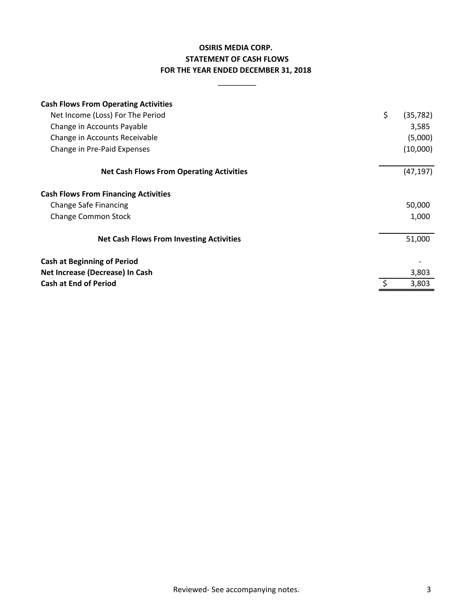# **OSIRIS MEDIA CORP. STATEMENT OF CASH FLOWS FOR THE YEAR ENDED DECEMBER 31, 2018**

 $\overline{\phantom{a}}$  and  $\overline{\phantom{a}}$ 

| <b>Cash Flows From Operating Activities</b>     |                 |
|-------------------------------------------------|-----------------|
| Net Income (Loss) For The Period                | \$<br>(35, 782) |
| Change in Accounts Payable                      | 3,585           |
| Change in Accounts Receivable                   | (5,000)         |
| Change in Pre-Paid Expenses                     | (10,000)        |
| <b>Net Cash Flows From Operating Activities</b> | (47, 197)       |
| <b>Cash Flows From Financing Activities</b>     |                 |
| <b>Change Safe Financing</b>                    | 50,000          |
| Change Common Stock                             | 1,000           |
| <b>Net Cash Flows From Investing Activities</b> | 51,000          |
| <b>Cash at Beginning of Period</b>              |                 |
| Net Increase (Decrease) In Cash                 | 3,803           |
| <b>Cash at End of Period</b>                    | 3,803           |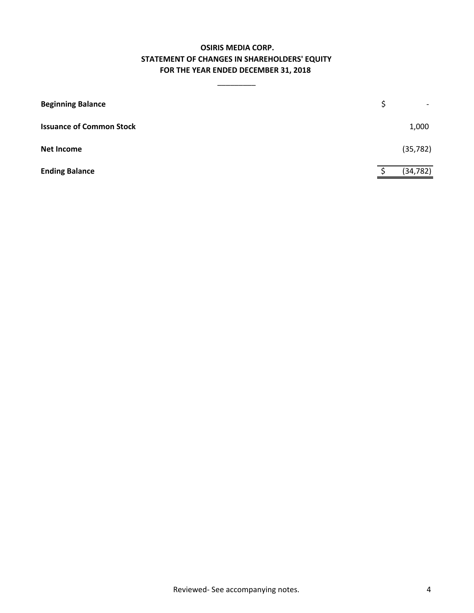# **OSIRIS MEDIA CORP. STATEMENT OF CHANGES IN SHAREHOLDERS' EQUITY FOR THE YEAR ENDED DECEMBER 31, 2018**

 $\overline{\phantom{a}}$  and  $\overline{\phantom{a}}$ 

| <b>Beginning Balance</b>        |           |
|---------------------------------|-----------|
| <b>Issuance of Common Stock</b> | 1,000     |
| <b>Net Income</b>               | (35, 782) |
| <b>Ending Balance</b>           | (34, 782) |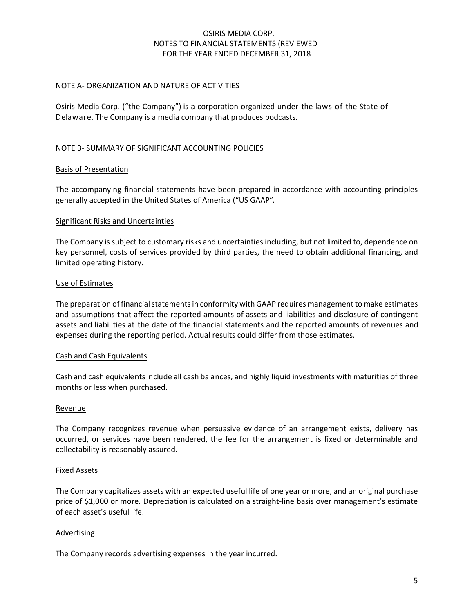## OSIRIS MEDIA CORP. NOTES TO FINANCIAL STATEMENTS (REVIEWED FOR THE YEAR ENDED DECEMBER 31, 2018

## NOTE A‐ ORGANIZATION AND NATURE OF ACTIVITIES

Osiris Media Corp. ("the Company") is a corporation organized under the laws of the State of Delaware. The Company is a media company that produces podcasts.

## NOTE B‐ SUMMARY OF SIGNIFICANT ACCOUNTING POLICIES

#### Basis of Presentation

The accompanying financial statements have been prepared in accordance with accounting principles generally accepted in the United States of America ("US GAAP".

#### Significant Risks and Uncertainties

The Company is subject to customary risks and uncertainties including, but not limited to, dependence on key personnel, costs of services provided by third parties, the need to obtain additional financing, and limited operating history.

#### Use of Estimates

The preparation of financial statements in conformity with GAAP requires management to make estimates and assumptions that affect the reported amounts of assets and liabilities and disclosure of contingent assets and liabilities at the date of the financial statements and the reported amounts of revenues and expenses during the reporting period. Actual results could differ from those estimates.

#### Cash and Cash Equivalents

Cash and cash equivalents include all cash balances, and highly liquid investments with maturities of three months or less when purchased.

#### Revenue

The Company recognizes revenue when persuasive evidence of an arrangement exists, delivery has occurred, or services have been rendered, the fee for the arrangement is fixed or determinable and collectability is reasonably assured.

#### Fixed Assets

The Company capitalizes assets with an expected useful life of one year or more, and an original purchase price of \$1,000 or more. Depreciation is calculated on a straight‐line basis over management's estimate of each asset's useful life.

#### Advertising

The Company records advertising expenses in the year incurred.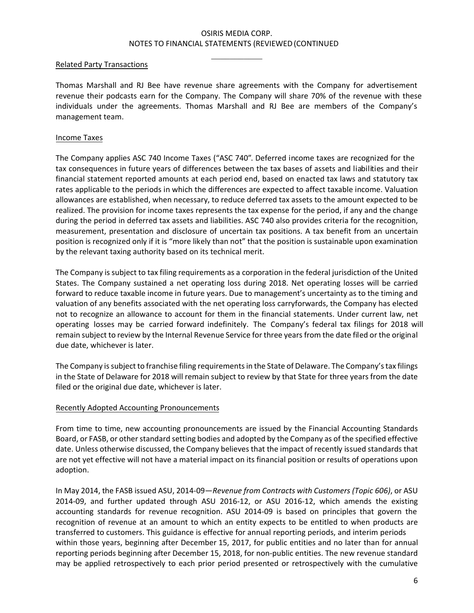## OSIRIS MEDIA CORP. NOTES TO FINANCIAL STATEMENTS (REVIEWED (CONTINUED

#### Related Party Transactions

Thomas Marshall and RJ Bee have revenue share agreements with the Company for advertisement revenue their podcasts earn for the Company. The Company will share 70% of the revenue with these individuals under the agreements. Thomas Marshall and RJ Bee are members of the Company's management team.

## Income Taxes

The Company applies ASC 740 Income Taxes ("ASC 740". Deferred income taxes are recognized for the tax consequences in future years of differences between the tax bases of assets and liabilities and their financial statement reported amounts at each period end, based on enacted tax laws and statutory tax rates applicable to the periods in which the differences are expected to affect taxable income. Valuation allowances are established, when necessary, to reduce deferred tax assets to the amount expected to be realized. The provision for income taxes represents the tax expense for the period, if any and the change during the period in deferred tax assets and liabilities. ASC 740 also provides criteria for the recognition, measurement, presentation and disclosure of uncertain tax positions. A tax benefit from an uncertain position is recognized only if it is "more likely than not" that the position is sustainable upon examination by the relevant taxing authority based on its technical merit.

The Company is subject to tax filing requirements as a corporation in the federal jurisdiction of the United States. The Company sustained a net operating loss during 2018. Net operating losses will be carried forward to reduce taxable income in future years. Due to management's uncertainty as to the timing and valuation of any benefits associated with the net operating loss carryforwards, the Company has elected not to recognize an allowance to account for them in the financial statements. Under current law, net operating losses may be carried forward indefinitely. The Company's federal tax filings for 2018 will remain subject to review by the Internal Revenue Service for three years from the date filed or the original due date, whichever is later.

The Company is subject to franchise filing requirements in the State of Delaware. The Company's tax filings in the State of Delaware for 2018 will remain subject to review by that State for three years from the date filed or the original due date, whichever is later.

#### Recently Adopted Accounting Pronouncements

From time to time, new accounting pronouncements are issued by the Financial Accounting Standards Board, or FASB, or other standard setting bodies and adopted by the Company as of the specified effective date. Unless otherwise discussed, the Company believes that the impact of recently issued standards that are not yet effective will not have a material impact on its financial position or results of operations upon adoption.

In May 2014, the FASB issued ASU, 2014‐09—*Revenue from Contracts with Customers (Topic 606)*, or ASU 2014‐09, and further updated through ASU 2016‐12, or ASU 2016‐12, which amends the existing accounting standards for revenue recognition. ASU 2014‐09 is based on principles that govern the recognition of revenue at an amount to which an entity expects to be entitled to when products are transferred to customers. This guidance is effective for annual reporting periods, and interim periods within those years, beginning after December 15, 2017, for public entities and no later than for annual reporting periods beginning after December 15, 2018, for non‐public entities. The new revenue standard may be applied retrospectively to each prior period presented or retrospectively with the cumulative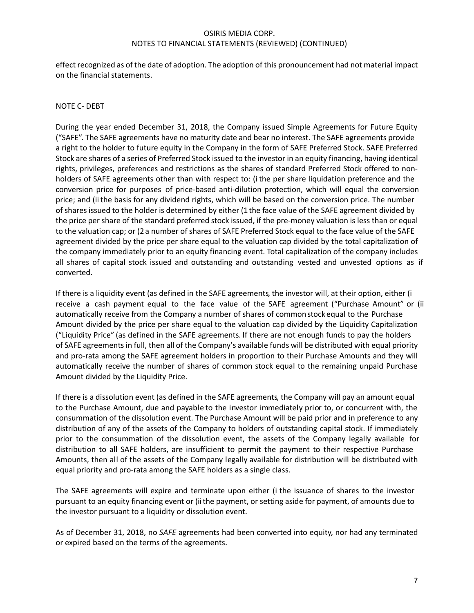#### OSIRIS MEDIA CORP. NOTES TO FINANCIAL STATEMENTS (REVIEWED) (CONTINUED)

effect recognized as of the date of adoption. The adoption of this pronouncement had not material impact on the financial statements.

## NOTE C‐ DEBT

During the year ended December 31, 2018, the Company issued Simple Agreements for Future Equity ("SAFE". The SAFE agreements have no maturity date and bear no interest. The SAFE agreements provide a right to the holder to future equity in the Company in the form of SAFE Preferred Stock. SAFE Preferred Stock are shares of a series of Preferred Stock issued to the investor in an equity financing, having identical rights, privileges, preferences and restrictions as the shares of standard Preferred Stock offered to non‐ holders of SAFE agreements other than with respect to: (i the per share liquidation preference and the conversion price for purposes of price-based anti-dilution protection, which will equal the conversion price; and (ii the basis for any dividend rights, which will be based on the conversion price. The number of shares issued to the holder is determined by either (1 the face value of the SAFE agreement divided by the price per share of the standard preferred stock issued, if the pre-money valuation is less than or equal to the valuation cap; or (2 a number of shares of SAFE Preferred Stock equal to the face value of the SAFE agreement divided by the price per share equal to the valuation cap divided by the total capitalization of the company immediately prior to an equity financing event. Total capitalization of the company includes all shares of capital stock issued and outstanding and outstanding vested and unvested options as if converted.

If there is a liquidity event (as defined in the SAFE agreements, the investor will, at their option, either (i receive a cash payment equal to the face value of the SAFE agreement ("Purchase Amount" or (ii automatically receive from the Company a number of shares of commonstockequal to the Purchase Amount divided by the price per share equal to the valuation cap divided by the Liquidity Capitalization ("Liquidity Price" (as defined in the SAFE agreements. If there are not enough funds to pay the holders of SAFE agreements in full, then all of the Company's available funds will be distributed with equal priority and pro‐rata among the SAFE agreement holders in proportion to their Purchase Amounts and they will automatically receive the number of shares of common stock equal to the remaining unpaid Purchase Amount divided by the Liquidity Price.

If there is a dissolution event (as defined in the SAFE agreements, the Company will pay an amount equal to the Purchase Amount, due and payable to the investor immediately prior to, or concurrent with, the consummation of the dissolution event. The Purchase Amount will be paid prior and in preference to any distribution of any of the assets of the Company to holders of outstanding capital stock. If immediately prior to the consummation of the dissolution event, the assets of the Company legally available for distribution to all SAFE holders, are insufficient to permit the payment to their respective Purchase Amounts, then all of the assets of the Company legally available for distribution will be distributed with equal priority and pro‐rata among the SAFE holders as a single class.

The SAFE agreements will expire and terminate upon either (i the issuance of shares to the investor pursuant to an equity financing event or (ii the payment, or setting aside for payment, of amounts due to the investor pursuant to a liquidity or dissolution event.

As of December 31, 2018, no *SAFE* agreements had been converted into equity, nor had any terminated or expired based on the terms of the agreements.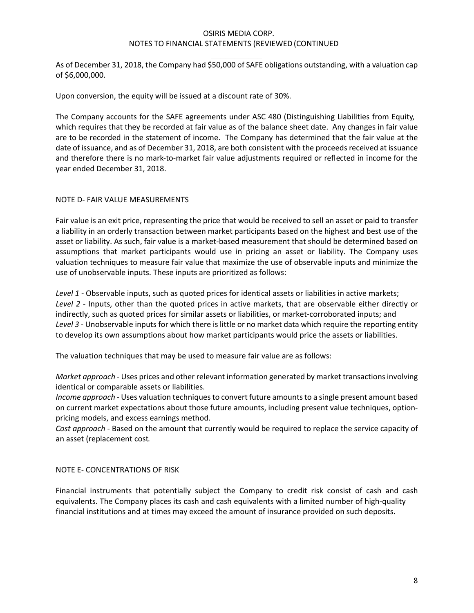## OSIRIS MEDIA CORP. NOTES TO FINANCIAL STATEMENTS (REVIEWED (CONTINUED

As of December 31, 2018, the Company had \$50,000 of SAFE obligations outstanding, with a valuation cap of \$6,000,000.

Upon conversion, the equity will be issued at a discount rate of 30%.

The Company accounts for the SAFE agreements under ASC 480 (Distinguishing Liabilities from Equity, which requires that they be recorded at fair value as of the balance sheet date. Any changes in fair value are to be recorded in the statement of income. The Company has determined that the fair value at the date of issuance, and as of December 31, 2018, are both consistent with the proceeds received at issuance and therefore there is no mark‐to‐market fair value adjustments required or reflected in income for the year ended December 31, 2018.

# NOTE D‐ FAIR VALUE MEASUREMENTS

Fair value is an exit price, representing the price that would be received to sell an asset or paid to transfer a liability in an orderly transaction between market participants based on the highest and best use of the asset or liability. As such, fair value is a market-based measurement that should be determined based on assumptions that market participants would use in pricing an asset or liability. The Company uses valuation techniques to measure fair value that maximize the use of observable inputs and minimize the use of unobservable inputs. These inputs are prioritized as follows:

Level 1 - Observable inputs, such as quoted prices for identical assets or liabilities in active markets; *Level 2* ‐ Inputs, other than the quoted prices in active markets, that are observable either directly or indirectly, such as quoted prices for similar assets or liabilities, or market‐corroborated inputs; and *Level 3* ‐ Unobservable inputs for which there is little or no market data which require the reporting entity to develop its own assumptions about how market participants would price the assets or liabilities.

The valuation techniques that may be used to measure fair value are as follows:

*Market approach* ‐ Uses prices and other relevant information generated by market transactions involving identical or comparable assets or liabilities.

*Income approach* ‐ Uses valuation techniques to convert future amounts to a single present amount based on current market expectations about those future amounts, including present value techniques, option‐ pricing models, and excess earnings method.

*Cost approach* ‐ Based on the amount that currently would be required to replace the service capacity of an asset (replacement cost.

#### NOTE E‐ CONCENTRATIONS OF RISK

Financial instruments that potentially subject the Company to credit risk consist of cash and cash equivalents. The Company places its cash and cash equivalents with a limited number of high‐quality financial institutions and at times may exceed the amount of insurance provided on such deposits.